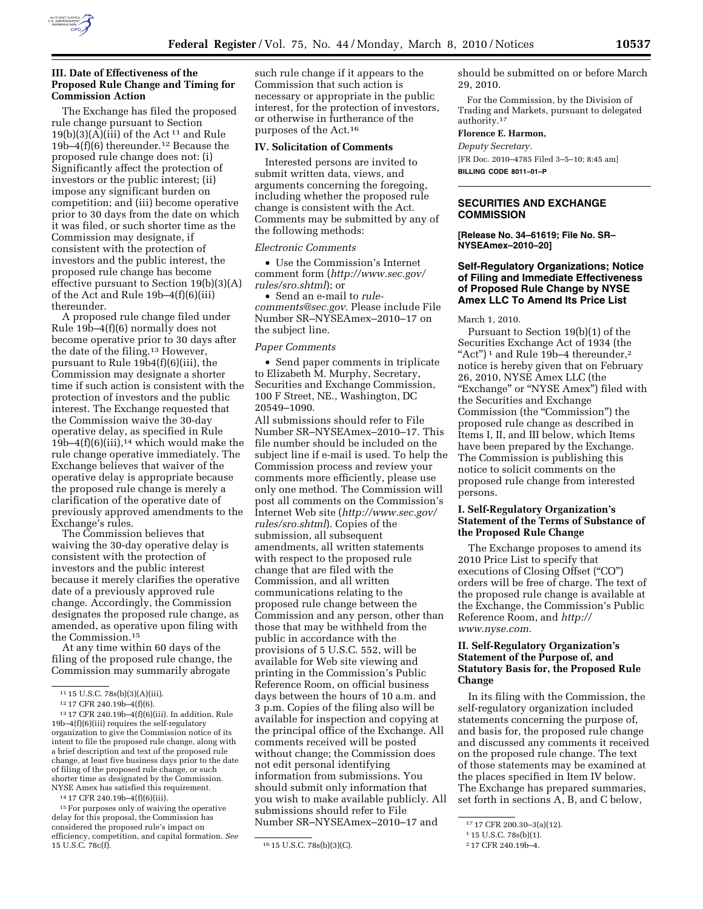

## **III. Date of Effectiveness of the Proposed Rule Change and Timing for Commission Action**

The Exchange has filed the proposed rule change pursuant to Section  $19(b)(3)(A)(iii)$  of the Act<sup>11</sup> and Rule 19b–4(f)(6) thereunder.12 Because the proposed rule change does not: (i) Significantly affect the protection of investors or the public interest; (ii) impose any significant burden on competition; and (iii) become operative prior to 30 days from the date on which it was filed, or such shorter time as the Commission may designate, if consistent with the protection of investors and the public interest, the proposed rule change has become effective pursuant to Section 19(b)(3)(A) of the Act and Rule 19b–4(f)(6)(iii) thereunder.

A proposed rule change filed under Rule 19b–4(f)(6) normally does not become operative prior to 30 days after the date of the filing.13 However, pursuant to Rule 19b4(f)(6)(iii), the Commission may designate a shorter time if such action is consistent with the protection of investors and the public interest. The Exchange requested that the Commission waive the 30-day operative delay, as specified in Rule  $19b-4(f)(6)(iii)$ ,<sup>14</sup> which would make the rule change operative immediately. The Exchange believes that waiver of the operative delay is appropriate because the proposed rule change is merely a clarification of the operative date of previously approved amendments to the Exchange's rules.

The Commission believes that waiving the 30-day operative delay is consistent with the protection of investors and the public interest because it merely clarifies the operative date of a previously approved rule change. Accordingly, the Commission designates the proposed rule change, as amended, as operative upon filing with the Commission.15

At any time within 60 days of the filing of the proposed rule change, the Commission may summarily abrogate

14 17 CFR 240.19b–4(f)(6)(iii).

<sup>15</sup> For purposes only of waiving the operative delay for this proposal, the Commission has considered the proposed rule's impact on efficiency, competition, and capital formation. *See*  $\overline{\hspace{1cm}16 \text{ 15 U.S.C. 78s(b)(3)(C)}}$ .

such rule change if it appears to the Commission that such action is necessary or appropriate in the public interest, for the protection of investors, or otherwise in furtherance of the purposes of the Act.16

#### **IV. Solicitation of Comments**

Interested persons are invited to submit written data, views, and arguments concerning the foregoing, including whether the proposed rule change is consistent with the Act. Comments may be submitted by any of the following methods:

#### *Electronic Comments*

• Use the Commission's Internet comment form (*http://www.sec.gov/ rules/sro.shtml*); or

• Send an e-mail to *rulecomments@sec.gov.* Please include File Number SR–NYSEAmex–2010–17 on the subject line.

#### *Paper Comments*

• Send paper comments in triplicate to Elizabeth M. Murphy, Secretary, Securities and Exchange Commission, 100 F Street, NE., Washington, DC 20549–1090.

All submissions should refer to File Number SR–NYSEAmex–2010–17. This file number should be included on the subject line if e-mail is used. To help the Commission process and review your comments more efficiently, please use only one method. The Commission will post all comments on the Commission's Internet Web site (*http://www.sec.gov/ rules/sro.shtml*). Copies of the submission, all subsequent amendments, all written statements with respect to the proposed rule change that are filed with the Commission, and all written communications relating to the proposed rule change between the Commission and any person, other than those that may be withheld from the public in accordance with the provisions of 5 U.S.C. 552, will be available for Web site viewing and printing in the Commission's Public Reference Room, on official business days between the hours of 10 a.m. and 3 p.m. Copies of the filing also will be available for inspection and copying at the principal office of the Exchange. All comments received will be posted without change; the Commission does not edit personal identifying information from submissions. You should submit only information that you wish to make available publicly. All submissions should refer to File Number SR–NYSEAmex–2010–17 and

should be submitted on or before March 29, 2010.

For the Commission, by the Division of Trading and Markets, pursuant to delegated authority.17

### **Florence E. Harmon,**

*Deputy Secretary.* 

[FR Doc. 2010–4785 Filed 3–5–10; 8:45 am] **BILLING CODE 8011–01–P** 

# **SECURITIES AND EXCHANGE COMMISSION**

**[Release No. 34–61619; File No. SR– NYSEAmex–2010–20]** 

# **Self-Regulatory Organizations; Notice of Filing and Immediate Effectiveness of Proposed Rule Change by NYSE Amex LLC To Amend Its Price List**

March 1, 2010.

Pursuant to Section 19(b)(1) of the Securities Exchange Act of 1934 (the "Act")<sup>1</sup> and Rule 19b-4 thereunder,<sup>2</sup> notice is hereby given that on February 26, 2010, NYSE Amex LLC (the "Exchange" or "NYSE Amex") filed with the Securities and Exchange Commission (the "Commission") the proposed rule change as described in Items I, II, and III below, which Items have been prepared by the Exchange. The Commission is publishing this notice to solicit comments on the proposed rule change from interested persons.

## **I. Self-Regulatory Organization's Statement of the Terms of Substance of the Proposed Rule Change**

The Exchange proposes to amend its 2010 Price List to specify that executions of Closing Offset ("CO") orders will be free of charge. The text of the proposed rule change is available at the Exchange, the Commission's Public Reference Room, and *http:// www.nyse.com.* 

# **II. Self-Regulatory Organization's Statement of the Purpose of, and Statutory Basis for, the Proposed Rule Change**

In its filing with the Commission, the self-regulatory organization included statements concerning the purpose of, and basis for, the proposed rule change and discussed any comments it received on the proposed rule change. The text of those statements may be examined at the places specified in Item IV below. The Exchange has prepared summaries, set forth in sections A, B, and C below,

<sup>11</sup> 15 U.S.C. 78s(b)(3)(A)(iii).

<sup>12</sup> 17 CFR 240.19b–4(f)(6).

<sup>13</sup> 17 CFR 240.19b–4(f)(6)(iii). In addition, Rule 19b–4(f)(6)(iii) requires the self-regulatory organization to give the Commission notice of its intent to file the proposed rule change, along with a brief description and text of the proposed rule change, at least five business days prior to the date of filing of the proposed rule change, or such shorter time as designated by the Commission. NYSE Amex has satisfied this requirement.

<sup>17</sup> 17 CFR 200.30–3(a)(12).

<sup>1</sup> 15 U.S.C. 78s(b)(1).

<sup>2</sup> 17 CFR 240.19b–4.